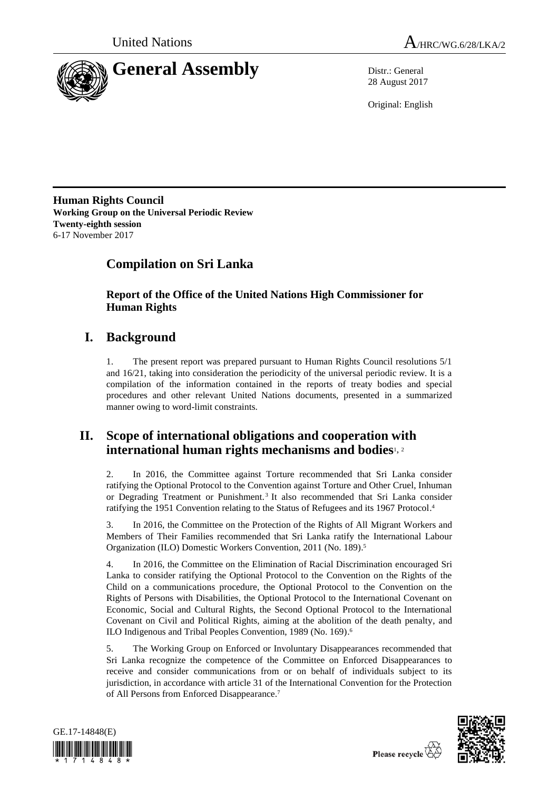



28 August 2017

Original: English

**Human Rights Council Working Group on the Universal Periodic Review Twenty-eighth session** 6-17 November 2017

# **Compilation on Sri Lanka**

**Report of the Office of the United Nations High Commissioner for Human Rights**

# **I. Background**

1. The present report was prepared pursuant to Human Rights Council resolutions 5/1 and 16/21, taking into consideration the periodicity of the universal periodic review. It is a compilation of the information contained in the reports of treaty bodies and special procedures and other relevant United Nations documents, presented in a summarized manner owing to word-limit constraints.

# **II. Scope of international obligations and cooperation with international human rights mechanisms and bodies**1, <sup>2</sup>

2. In 2016, the Committee against Torture recommended that Sri Lanka consider ratifying the Optional Protocol to the Convention against Torture and Other Cruel, Inhuman or Degrading Treatment or Punishment.<sup>3</sup> It also recommended that Sri Lanka consider ratifying the 1951 Convention relating to the Status of Refugees and its 1967 Protocol. 4

3. In 2016, the Committee on the Protection of the Rights of All Migrant Workers and Members of Their Families recommended that Sri Lanka ratify the International Labour Organization (ILO) Domestic Workers Convention, 2011 (No. 189). 5

4. In 2016, the Committee on the Elimination of Racial Discrimination encouraged Sri Lanka to consider ratifying the Optional Protocol to the Convention on the Rights of the Child on a communications procedure, the Optional Protocol to the Convention on the Rights of Persons with Disabilities, the Optional Protocol to the International Covenant on Economic, Social and Cultural Rights, the Second Optional Protocol to the International Covenant on Civil and Political Rights, aiming at the abolition of the death penalty, and ILO Indigenous and Tribal Peoples Convention, 1989 (No. 169).<sup>6</sup>

5. The Working Group on Enforced or Involuntary Disappearances recommended that Sri Lanka recognize the competence of the Committee on Enforced Disappearances to receive and consider communications from or on behalf of individuals subject to its jurisdiction, in accordance with article 31 of the International Convention for the Protection of All Persons from Enforced Disappearance.<sup>7</sup>



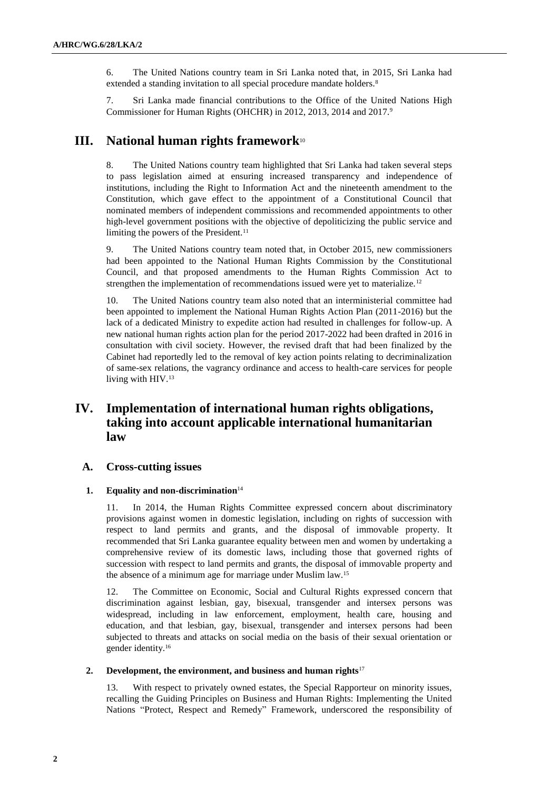6. The United Nations country team in Sri Lanka noted that, in 2015, Sri Lanka had extended a standing invitation to all special procedure mandate holders.<sup>8</sup>

7. Sri Lanka made financial contributions to the Office of the United Nations High Commissioner for Human Rights (OHCHR) in 2012, 2013, 2014 and 2017.<sup>9</sup>

# **III. National human rights framework**<sup>10</sup>

8. The United Nations country team highlighted that Sri Lanka had taken several steps to pass legislation aimed at ensuring increased transparency and independence of institutions, including the Right to Information Act and the nineteenth amendment to the Constitution, which gave effect to the appointment of a Constitutional Council that nominated members of independent commissions and recommended appointments to other high-level government positions with the objective of depoliticizing the public service and limiting the powers of the President.<sup>11</sup>

9. The United Nations country team noted that, in October 2015, new commissioners had been appointed to the National Human Rights Commission by the Constitutional Council, and that proposed amendments to the Human Rights Commission Act to strengthen the implementation of recommendations issued were yet to materialize.<sup>12</sup>

10. The United Nations country team also noted that an interministerial committee had been appointed to implement the National Human Rights Action Plan (2011-2016) but the lack of a dedicated Ministry to expedite action had resulted in challenges for follow-up. A new national human rights action plan for the period 2017-2022 had been drafted in 2016 in consultation with civil society. However, the revised draft that had been finalized by the Cabinet had reportedly led to the removal of key action points relating to decriminalization of same-sex relations, the vagrancy ordinance and access to health-care services for people living with HIV.<sup>13</sup>

# **IV. Implementation of international human rights obligations, taking into account applicable international humanitarian law**

# **A. Cross-cutting issues**

### **1. Equality and non-discrimination**<sup>14</sup>

11. In 2014, the Human Rights Committee expressed concern about discriminatory provisions against women in domestic legislation, including on rights of succession with respect to land permits and grants, and the disposal of immovable property. It recommended that Sri Lanka guarantee equality between men and women by undertaking a comprehensive review of its domestic laws, including those that governed rights of succession with respect to land permits and grants, the disposal of immovable property and the absence of a minimum age for marriage under Muslim law.<sup>15</sup>

12. The Committee on Economic, Social and Cultural Rights expressed concern that discrimination against lesbian, gay, bisexual, transgender and intersex persons was widespread, including in law enforcement, employment, health care, housing and education, and that lesbian, gay, bisexual, transgender and intersex persons had been subjected to threats and attacks on social media on the basis of their sexual orientation or gender identity. 16

### **2. Development, the environment, and business and human rights**<sup>17</sup>

13. With respect to privately owned estates, the Special Rapporteur on minority issues, recalling the Guiding Principles on Business and Human Rights: Implementing the United Nations "Protect, Respect and Remedy" Framework, underscored the responsibility of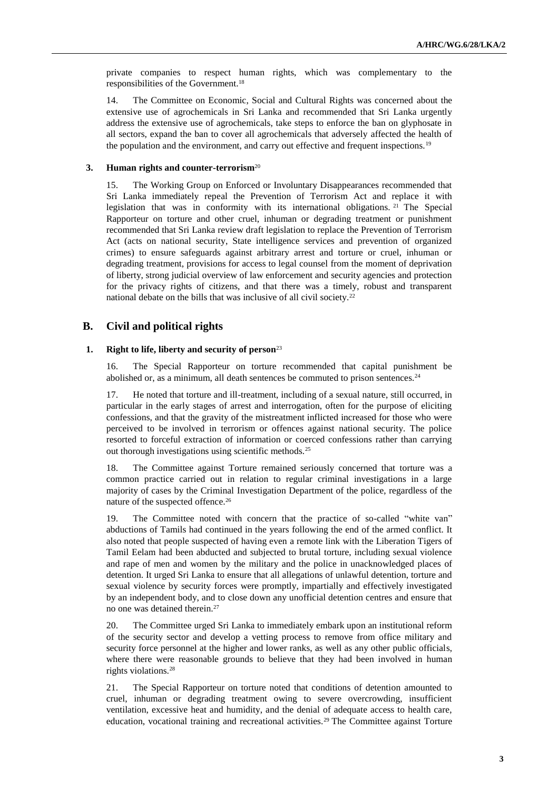private companies to respect human rights, which was complementary to the responsibilities of the Government.<sup>18</sup>

14. The Committee on Economic, Social and Cultural Rights was concerned about the extensive use of agrochemicals in Sri Lanka and recommended that Sri Lanka urgently address the extensive use of agrochemicals, take steps to enforce the ban on glyphosate in all sectors, expand the ban to cover all agrochemicals that adversely affected the health of the population and the environment, and carry out effective and frequent inspections.<sup>19</sup>

### **3. Human rights and counter-terrorism**<sup>20</sup>

15. The Working Group on Enforced or Involuntary Disappearances recommended that Sri Lanka immediately repeal the Prevention of Terrorism Act and replace it with legislation that was in conformity with its international obligations. <sup>21</sup> The Special Rapporteur on torture and other cruel, inhuman or degrading treatment or punishment recommended that Sri Lanka review draft legislation to replace the Prevention of Terrorism Act (acts on national security, State intelligence services and prevention of organized crimes) to ensure safeguards against arbitrary arrest and torture or cruel, inhuman or degrading treatment, provisions for access to legal counsel from the moment of deprivation of liberty, strong judicial overview of law enforcement and security agencies and protection for the privacy rights of citizens, and that there was a timely, robust and transparent national debate on the bills that was inclusive of all civil society.<sup>22</sup>

# **B. Civil and political rights**

#### **1. Right to life, liberty and security of person**<sup>23</sup>

16. The Special Rapporteur on torture recommended that capital punishment be abolished or, as a minimum, all death sentences be commuted to prison sentences.<sup>24</sup>

17. He noted that torture and ill-treatment, including of a sexual nature, still occurred, in particular in the early stages of arrest and interrogation, often for the purpose of eliciting confessions, and that the gravity of the mistreatment inflicted increased for those who were perceived to be involved in terrorism or offences against national security. The police resorted to forceful extraction of information or coerced confessions rather than carrying out thorough investigations using scientific methods.<sup>25</sup>

18. The Committee against Torture remained seriously concerned that torture was a common practice carried out in relation to regular criminal investigations in a large majority of cases by the Criminal Investigation Department of the police, regardless of the nature of the suspected offence.<sup>26</sup>

19. The Committee noted with concern that the practice of so-called "white van" abductions of Tamils had continued in the years following the end of the armed conflict. It also noted that people suspected of having even a remote link with the Liberation Tigers of Tamil Eelam had been abducted and subjected to brutal torture, including sexual violence and rape of men and women by the military and the police in unacknowledged places of detention. It urged Sri Lanka to ensure that all allegations of unlawful detention, torture and sexual violence by security forces were promptly, impartially and effectively investigated by an independent body, and to close down any unofficial detention centres and ensure that no one was detained therein.<sup>27</sup>

20. The Committee urged Sri Lanka to immediately embark upon an institutional reform of the security sector and develop a vetting process to remove from office military and security force personnel at the higher and lower ranks, as well as any other public officials, where there were reasonable grounds to believe that they had been involved in human rights violations.<sup>28</sup>

21. The Special Rapporteur on torture noted that conditions of detention amounted to cruel, inhuman or degrading treatment owing to severe overcrowding, insufficient ventilation, excessive heat and humidity, and the denial of adequate access to health care, education, vocational training and recreational activities.<sup>29</sup> The Committee against Torture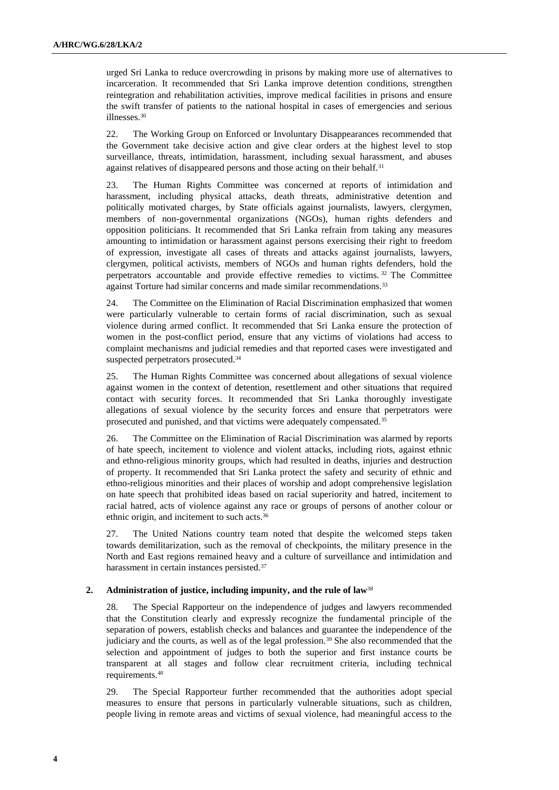urged Sri Lanka to reduce overcrowding in prisons by making more use of alternatives to incarceration. It recommended that Sri Lanka improve detention conditions, strengthen reintegration and rehabilitation activities, improve medical facilities in prisons and ensure the swift transfer of patients to the national hospital in cases of emergencies and serious illnesses.<sup>30</sup>

22. The Working Group on Enforced or Involuntary Disappearances recommended that the Government take decisive action and give clear orders at the highest level to stop surveillance, threats, intimidation, harassment, including sexual harassment, and abuses against relatives of disappeared persons and those acting on their behalf.<sup>31</sup>

23. The Human Rights Committee was concerned at reports of intimidation and harassment, including physical attacks, death threats, administrative detention and politically motivated charges, by State officials against journalists, lawyers, clergymen, members of non-governmental organizations (NGOs), human rights defenders and opposition politicians. It recommended that Sri Lanka refrain from taking any measures amounting to intimidation or harassment against persons exercising their right to freedom of expression, investigate all cases of threats and attacks against journalists, lawyers, clergymen, political activists, members of NGOs and human rights defenders, hold the perpetrators accountable and provide effective remedies to victims. <sup>32</sup> The Committee against Torture had similar concerns and made similar recommendations.<sup>33</sup>

24. The Committee on the Elimination of Racial Discrimination emphasized that women were particularly vulnerable to certain forms of racial discrimination, such as sexual violence during armed conflict. It recommended that Sri Lanka ensure the protection of women in the post-conflict period, ensure that any victims of violations had access to complaint mechanisms and judicial remedies and that reported cases were investigated and suspected perpetrators prosecuted.<sup>34</sup>

25. The Human Rights Committee was concerned about allegations of sexual violence against women in the context of detention, resettlement and other situations that required contact with security forces. It recommended that Sri Lanka thoroughly investigate allegations of sexual violence by the security forces and ensure that perpetrators were prosecuted and punished, and that victims were adequately compensated.<sup>35</sup>

26. The Committee on the Elimination of Racial Discrimination was alarmed by reports of hate speech, incitement to violence and violent attacks, including riots, against ethnic and ethno-religious minority groups, which had resulted in deaths, injuries and destruction of property. It recommended that Sri Lanka protect the safety and security of ethnic and ethno-religious minorities and their places of worship and adopt comprehensive legislation on hate speech that prohibited ideas based on racial superiority and hatred, incitement to racial hatred, acts of violence against any race or groups of persons of another colour or ethnic origin, and incitement to such acts. 36

27. The United Nations country team noted that despite the welcomed steps taken towards demilitarization, such as the removal of checkpoints, the military presence in the North and East regions remained heavy and a culture of surveillance and intimidation and harassment in certain instances persisted.<sup>37</sup>

### **2. Administration of justice, including impunity, and the rule of law**<sup>38</sup>

28. The Special Rapporteur on the independence of judges and lawyers recommended that the Constitution clearly and expressly recognize the fundamental principle of the separation of powers, establish checks and balances and guarantee the independence of the judiciary and the courts, as well as of the legal profession.<sup>39</sup> She also recommended that the selection and appointment of judges to both the superior and first instance courts be transparent at all stages and follow clear recruitment criteria, including technical requirements.<sup>40</sup>

29. The Special Rapporteur further recommended that the authorities adopt special measures to ensure that persons in particularly vulnerable situations, such as children, people living in remote areas and victims of sexual violence, had meaningful access to the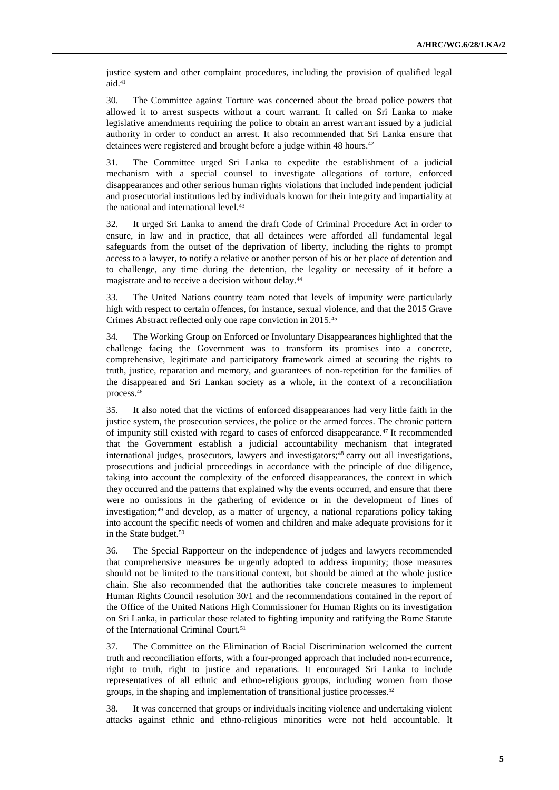justice system and other complaint procedures, including the provision of qualified legal aid.<sup>41</sup>

30. The Committee against Torture was concerned about the broad police powers that allowed it to arrest suspects without a court warrant. It called on Sri Lanka to make legislative amendments requiring the police to obtain an arrest warrant issued by a judicial authority in order to conduct an arrest. It also recommended that Sri Lanka ensure that detainees were registered and brought before a judge within 48 hours.<sup>42</sup>

31. The Committee urged Sri Lanka to expedite the establishment of a judicial mechanism with a special counsel to investigate allegations of torture, enforced disappearances and other serious human rights violations that included independent judicial and prosecutorial institutions led by individuals known for their integrity and impartiality at the national and international level.<sup>43</sup>

32. It urged Sri Lanka to amend the draft Code of Criminal Procedure Act in order to ensure, in law and in practice, that all detainees were afforded all fundamental legal safeguards from the outset of the deprivation of liberty, including the rights to prompt access to a lawyer, to notify a relative or another person of his or her place of detention and to challenge, any time during the detention, the legality or necessity of it before a magistrate and to receive a decision without delay.<sup>44</sup>

33. The United Nations country team noted that levels of impunity were particularly high with respect to certain offences, for instance, sexual violence, and that the 2015 Grave Crimes Abstract reflected only one rape conviction in 2015.<sup>45</sup>

34. The Working Group on Enforced or Involuntary Disappearances highlighted that the challenge facing the Government was to transform its promises into a concrete, comprehensive, legitimate and participatory framework aimed at securing the rights to truth, justice, reparation and memory, and guarantees of non-repetition for the families of the disappeared and Sri Lankan society as a whole, in the context of a reconciliation process.<sup>46</sup>

35. It also noted that the victims of enforced disappearances had very little faith in the justice system, the prosecution services, the police or the armed forces. The chronic pattern of impunity still existed with regard to cases of enforced disappearance.<sup>47</sup> It recommended that the Government establish a judicial accountability mechanism that integrated international judges, prosecutors, lawyers and investigators;<sup>48</sup> carry out all investigations, prosecutions and judicial proceedings in accordance with the principle of due diligence, taking into account the complexity of the enforced disappearances, the context in which they occurred and the patterns that explained why the events occurred, and ensure that there were no omissions in the gathering of evidence or in the development of lines of investigation;<sup>49</sup> and develop, as a matter of urgency, a national reparations policy taking into account the specific needs of women and children and make adequate provisions for it in the State budget.<sup>50</sup>

36. The Special Rapporteur on the independence of judges and lawyers recommended that comprehensive measures be urgently adopted to address impunity; those measures should not be limited to the transitional context, but should be aimed at the whole justice chain. She also recommended that the authorities take concrete measures to implement Human Rights Council resolution 30/1 and the recommendations contained in the report of the Office of the United Nations High Commissioner for Human Rights on its investigation on Sri Lanka, in particular those related to fighting impunity and ratifying the Rome Statute of the International Criminal Court.<sup>51</sup>

37. The Committee on the Elimination of Racial Discrimination welcomed the current truth and reconciliation efforts, with a four-pronged approach that included non-recurrence, right to truth, right to justice and reparations. It encouraged Sri Lanka to include representatives of all ethnic and ethno-religious groups, including women from those groups, in the shaping and implementation of transitional justice processes.<sup>52</sup>

38. It was concerned that groups or individuals inciting violence and undertaking violent attacks against ethnic and ethno-religious minorities were not held accountable. It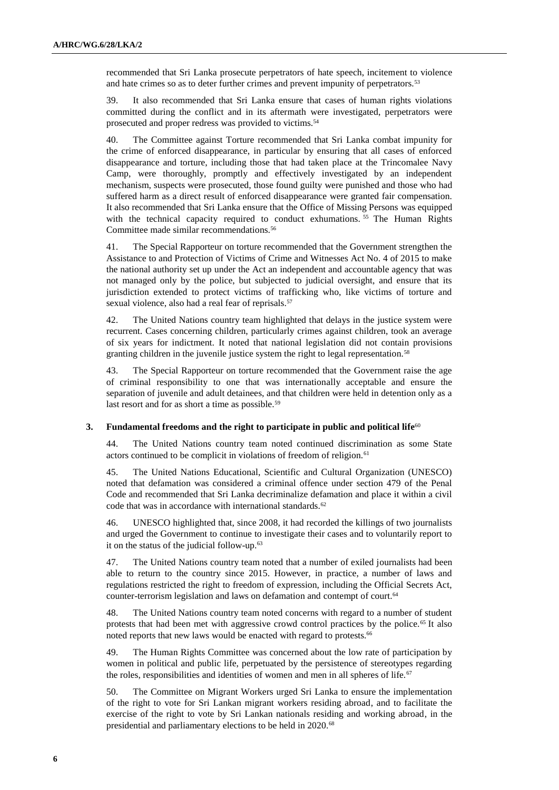recommended that Sri Lanka prosecute perpetrators of hate speech, incitement to violence and hate crimes so as to deter further crimes and prevent impunity of perpetrators.<sup>53</sup>

39. It also recommended that Sri Lanka ensure that cases of human rights violations committed during the conflict and in its aftermath were investigated, perpetrators were prosecuted and proper redress was provided to victims.<sup>54</sup>

The Committee against Torture recommended that Sri Lanka combat impunity for the crime of enforced disappearance, in particular by ensuring that all cases of enforced disappearance and torture, including those that had taken place at the Trincomalee Navy Camp, were thoroughly, promptly and effectively investigated by an independent mechanism, suspects were prosecuted, those found guilty were punished and those who had suffered harm as a direct result of enforced disappearance were granted fair compensation. It also recommended that Sri Lanka ensure that the Office of Missing Persons was equipped with the technical capacity required to conduct exhumations.<sup>55</sup> The Human Rights Committee made similar recommendations.<sup>56</sup>

41. The Special Rapporteur on torture recommended that the Government strengthen the Assistance to and Protection of Victims of Crime and Witnesses Act No. 4 of 2015 to make the national authority set up under the Act an independent and accountable agency that was not managed only by the police, but subjected to judicial oversight, and ensure that its jurisdiction extended to protect victims of trafficking who, like victims of torture and sexual violence, also had a real fear of reprisals.<sup>57</sup>

42. The United Nations country team highlighted that delays in the justice system were recurrent. Cases concerning children, particularly crimes against children, took an average of six years for indictment. It noted that national legislation did not contain provisions granting children in the juvenile justice system the right to legal representation.<sup>58</sup>

43. The Special Rapporteur on torture recommended that the Government raise the age of criminal responsibility to one that was internationally acceptable and ensure the separation of juvenile and adult detainees, and that children were held in detention only as a last resort and for as short a time as possible.<sup>59</sup>

### **3.** Fundamental freedoms and the right to participate in public and political life<sup>60</sup>

44. The United Nations country team noted continued discrimination as some State actors continued to be complicit in violations of freedom of religion.<sup>61</sup>

45. The United Nations Educational, Scientific and Cultural Organization (UNESCO) noted that defamation was considered a criminal offence under section 479 of the Penal Code and recommended that Sri Lanka decriminalize defamation and place it within a civil code that was in accordance with international standards.<sup>62</sup>

46. UNESCO highlighted that, since 2008, it had recorded the killings of two journalists and urged the Government to continue to investigate their cases and to voluntarily report to it on the status of the judicial follow-up.<sup>63</sup>

47. The United Nations country team noted that a number of exiled journalists had been able to return to the country since 2015. However, in practice, a number of laws and regulations restricted the right to freedom of expression, including the Official Secrets Act, counter-terrorism legislation and laws on defamation and contempt of court.<sup>64</sup>

48. The United Nations country team noted concerns with regard to a number of student protests that had been met with aggressive crowd control practices by the police.<sup>65</sup> It also noted reports that new laws would be enacted with regard to protests.<sup>66</sup>

49. The Human Rights Committee was concerned about the low rate of participation by women in political and public life, perpetuated by the persistence of stereotypes regarding the roles, responsibilities and identities of women and men in all spheres of life.<sup>67</sup>

50. The Committee on Migrant Workers urged Sri Lanka to ensure the implementation of the right to vote for Sri Lankan migrant workers residing abroad, and to facilitate the exercise of the right to vote by Sri Lankan nationals residing and working abroad, in the presidential and parliamentary elections to be held in 2020.<sup>68</sup>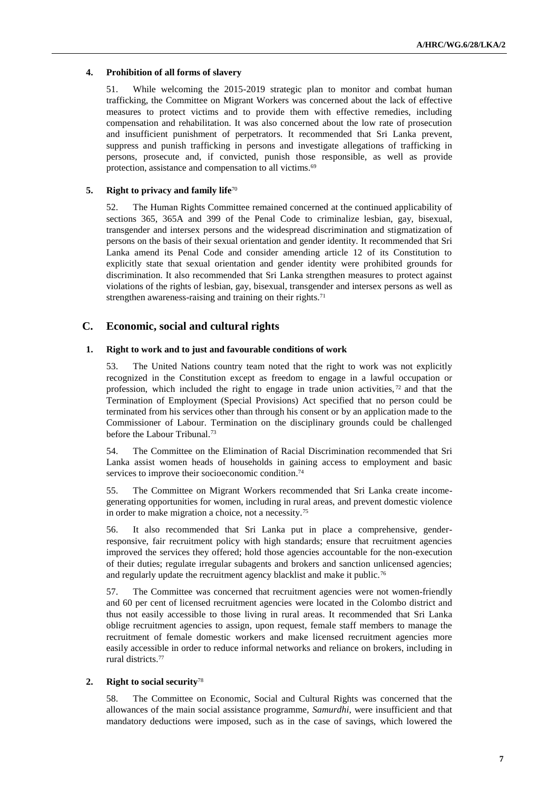# **4. Prohibition of all forms of slavery**

51. While welcoming the 2015-2019 strategic plan to monitor and combat human trafficking, the Committee on Migrant Workers was concerned about the lack of effective measures to protect victims and to provide them with effective remedies, including compensation and rehabilitation. It was also concerned about the low rate of prosecution and insufficient punishment of perpetrators. It recommended that Sri Lanka prevent, suppress and punish trafficking in persons and investigate allegations of trafficking in persons, prosecute and, if convicted, punish those responsible, as well as provide protection, assistance and compensation to all victims.<sup>69</sup>

# **5. Right to privacy and family life**<sup>70</sup>

52. The Human Rights Committee remained concerned at the continued applicability of sections 365, 365A and 399 of the Penal Code to criminalize lesbian, gay, bisexual, transgender and intersex persons and the widespread discrimination and stigmatization of persons on the basis of their sexual orientation and gender identity. It recommended that Sri Lanka amend its Penal Code and consider amending article 12 of its Constitution to explicitly state that sexual orientation and gender identity were prohibited grounds for discrimination. It also recommended that Sri Lanka strengthen measures to protect against violations of the rights of lesbian, gay, bisexual, transgender and intersex persons as well as strengthen awareness-raising and training on their rights.<sup>71</sup>

# **C. Economic, social and cultural rights**

# **1. Right to work and to just and favourable conditions of work**

53. The United Nations country team noted that the right to work was not explicitly recognized in the Constitution except as freedom to engage in a lawful occupation or profession, which included the right to engage in trade union activities,  $72$  and that the Termination of Employment (Special Provisions) Act specified that no person could be terminated from his services other than through his consent or by an application made to the Commissioner of Labour. Termination on the disciplinary grounds could be challenged before the Labour Tribunal.<sup>73</sup>

54. The Committee on the Elimination of Racial Discrimination recommended that Sri Lanka assist women heads of households in gaining access to employment and basic services to improve their socioeconomic condition.<sup>74</sup>

55. The Committee on Migrant Workers recommended that Sri Lanka create incomegenerating opportunities for women, including in rural areas, and prevent domestic violence in order to make migration a choice, not a necessity.<sup>75</sup>

56. It also recommended that Sri Lanka put in place a comprehensive, genderresponsive, fair recruitment policy with high standards; ensure that recruitment agencies improved the services they offered; hold those agencies accountable for the non-execution of their duties; regulate irregular subagents and brokers and sanction unlicensed agencies; and regularly update the recruitment agency blacklist and make it public.<sup>76</sup>

57. The Committee was concerned that recruitment agencies were not women-friendly and 60 per cent of licensed recruitment agencies were located in the Colombo district and thus not easily accessible to those living in rural areas. It recommended that Sri Lanka oblige recruitment agencies to assign, upon request, female staff members to manage the recruitment of female domestic workers and make licensed recruitment agencies more easily accessible in order to reduce informal networks and reliance on brokers, including in rural districts.<sup>77</sup>

## **2. Right to social security**<sup>78</sup>

58. The Committee on Economic, Social and Cultural Rights was concerned that the allowances of the main social assistance programme, *Samurdhi*, were insufficient and that mandatory deductions were imposed, such as in the case of savings, which lowered the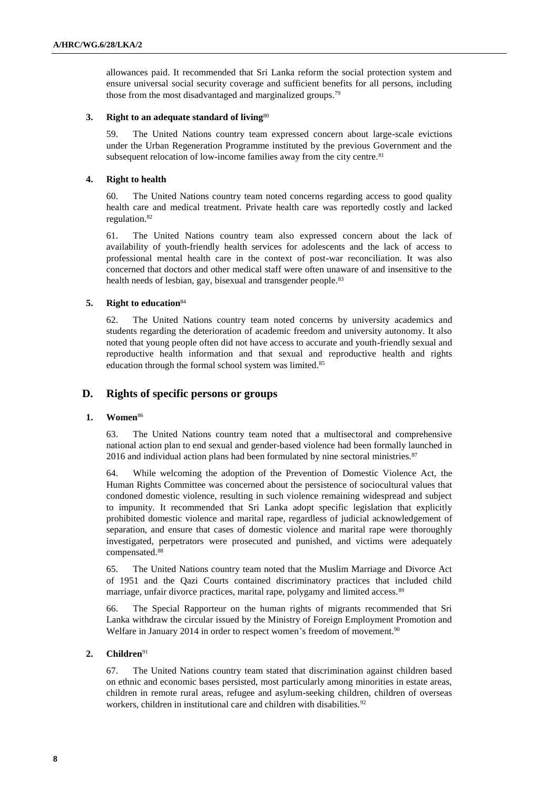allowances paid. It recommended that Sri Lanka reform the social protection system and ensure universal social security coverage and sufficient benefits for all persons, including those from the most disadvantaged and marginalized groups. 79

## **3. Right to an adequate standard of living**<sup>80</sup>

59. The United Nations country team expressed concern about large-scale evictions under the Urban Regeneration Programme instituted by the previous Government and the subsequent relocation of low-income families away from the city centre.<sup>81</sup>

### **4. Right to health**

60. The United Nations country team noted concerns regarding access to good quality health care and medical treatment. Private health care was reportedly costly and lacked regulation.<sup>82</sup>

61. The United Nations country team also expressed concern about the lack of availability of youth-friendly health services for adolescents and the lack of access to professional mental health care in the context of post-war reconciliation. It was also concerned that doctors and other medical staff were often unaware of and insensitive to the health needs of lesbian, gay, bisexual and transgender people.<sup>83</sup>

## **5. Right to education**<sup>84</sup>

62. The United Nations country team noted concerns by university academics and students regarding the deterioration of academic freedom and university autonomy. It also noted that young people often did not have access to accurate and youth-friendly sexual and reproductive health information and that sexual and reproductive health and rights education through the formal school system was limited.<sup>85</sup>

# **D. Rights of specific persons or groups**

## **1. Women**<sup>86</sup>

63. The United Nations country team noted that a multisectoral and comprehensive national action plan to end sexual and gender-based violence had been formally launched in 2016 and individual action plans had been formulated by nine sectoral ministries.<sup>87</sup>

64. While welcoming the adoption of the Prevention of Domestic Violence Act, the Human Rights Committee was concerned about the persistence of sociocultural values that condoned domestic violence, resulting in such violence remaining widespread and subject to impunity. It recommended that Sri Lanka adopt specific legislation that explicitly prohibited domestic violence and marital rape, regardless of judicial acknowledgement of separation, and ensure that cases of domestic violence and marital rape were thoroughly investigated, perpetrators were prosecuted and punished, and victims were adequately compensated.<sup>88</sup>

65. The United Nations country team noted that the Muslim Marriage and Divorce Act of 1951 and the Qazi Courts contained discriminatory practices that included child marriage, unfair divorce practices, marital rape, polygamy and limited access.<sup>89</sup>

66. The Special Rapporteur on the human rights of migrants recommended that Sri Lanka withdraw the circular issued by the Ministry of Foreign Employment Promotion and Welfare in January 2014 in order to respect women's freedom of movement.<sup>90</sup>

# **2. Children**<sup>91</sup>

67. The United Nations country team stated that discrimination against children based on ethnic and economic bases persisted, most particularly among minorities in estate areas, children in remote rural areas, refugee and asylum-seeking children, children of overseas workers, children in institutional care and children with disabilities.<sup>92</sup>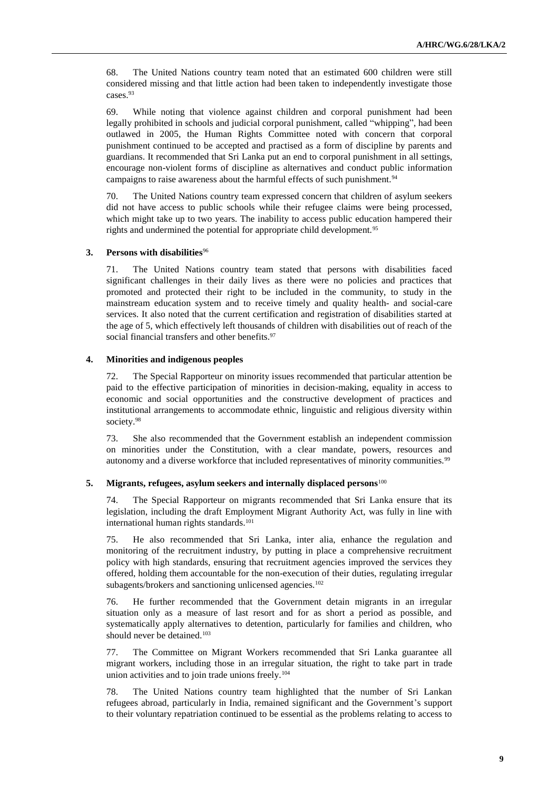68. The United Nations country team noted that an estimated 600 children were still considered missing and that little action had been taken to independently investigate those cases.<sup>93</sup>

69. While noting that violence against children and corporal punishment had been legally prohibited in schools and judicial corporal punishment, called "whipping", had been outlawed in 2005, the Human Rights Committee noted with concern that corporal punishment continued to be accepted and practised as a form of discipline by parents and guardians. It recommended that Sri Lanka put an end to corporal punishment in all settings, encourage non-violent forms of discipline as alternatives and conduct public information campaigns to raise awareness about the harmful effects of such punishment.<sup>94</sup>

70. The United Nations country team expressed concern that children of asylum seekers did not have access to public schools while their refugee claims were being processed, which might take up to two years. The inability to access public education hampered their rights and undermined the potential for appropriate child development.<sup>95</sup>

### **3. Persons with disabilities**<sup>96</sup>

71. The United Nations country team stated that persons with disabilities faced significant challenges in their daily lives as there were no policies and practices that promoted and protected their right to be included in the community, to study in the mainstream education system and to receive timely and quality health- and social-care services. It also noted that the current certification and registration of disabilities started at the age of 5, which effectively left thousands of children with disabilities out of reach of the social financial transfers and other benefits.<sup>97</sup>

### **4. Minorities and indigenous peoples**

72. The Special Rapporteur on minority issues recommended that particular attention be paid to the effective participation of minorities in decision-making, equality in access to economic and social opportunities and the constructive development of practices and institutional arrangements to accommodate ethnic, linguistic and religious diversity within society.<sup>98</sup>

73. She also recommended that the Government establish an independent commission on minorities under the Constitution, with a clear mandate, powers, resources and autonomy and a diverse workforce that included representatives of minority communities.<sup>99</sup>

### **5. Migrants, refugees, asylum seekers and internally displaced persons**<sup>100</sup>

74. The Special Rapporteur on migrants recommended that Sri Lanka ensure that its legislation, including the draft Employment Migrant Authority Act, was fully in line with international human rights standards.<sup>101</sup>

75. He also recommended that Sri Lanka, inter alia, enhance the regulation and monitoring of the recruitment industry, by putting in place a comprehensive recruitment policy with high standards, ensuring that recruitment agencies improved the services they offered, holding them accountable for the non-execution of their duties, regulating irregular subagents/brokers and sanctioning unlicensed agencies.<sup>102</sup>

76. He further recommended that the Government detain migrants in an irregular situation only as a measure of last resort and for as short a period as possible, and systematically apply alternatives to detention, particularly for families and children, who should never be detained.<sup>103</sup>

77. The Committee on Migrant Workers recommended that Sri Lanka guarantee all migrant workers, including those in an irregular situation, the right to take part in trade union activities and to join trade unions freely.<sup>104</sup>

78. The United Nations country team highlighted that the number of Sri Lankan refugees abroad, particularly in India, remained significant and the Government's support to their voluntary repatriation continued to be essential as the problems relating to access to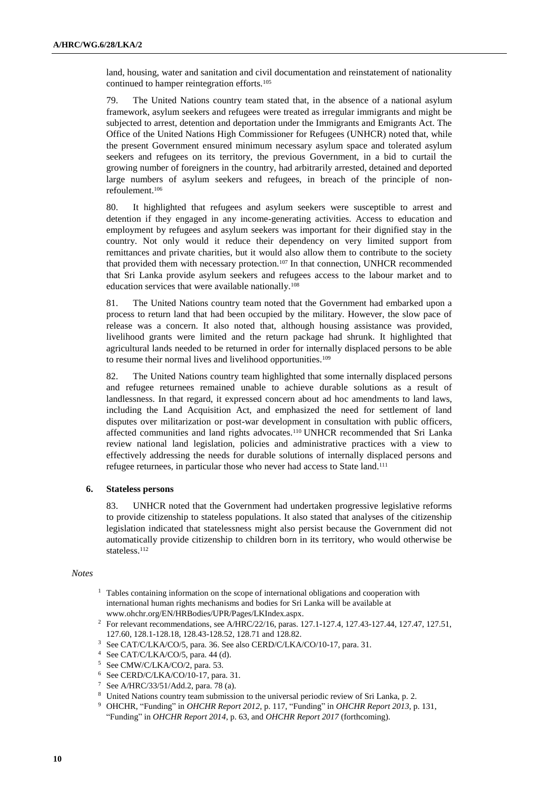land, housing, water and sanitation and civil documentation and reinstatement of nationality continued to hamper reintegration efforts.<sup>105</sup>

79. The United Nations country team stated that, in the absence of a national asylum framework, asylum seekers and refugees were treated as irregular immigrants and might be subjected to arrest, detention and deportation under the Immigrants and Emigrants Act. The Office of the United Nations High Commissioner for Refugees (UNHCR) noted that, while the present Government ensured minimum necessary asylum space and tolerated asylum seekers and refugees on its territory, the previous Government, in a bid to curtail the growing number of foreigners in the country, had arbitrarily arrested, detained and deported large numbers of asylum seekers and refugees, in breach of the principle of nonrefoulement. 106

80. It highlighted that refugees and asylum seekers were susceptible to arrest and detention if they engaged in any income-generating activities. Access to education and employment by refugees and asylum seekers was important for their dignified stay in the country. Not only would it reduce their dependency on very limited support from remittances and private charities, but it would also allow them to contribute to the society that provided them with necessary protection.<sup>107</sup> In that connection, UNHCR recommended that Sri Lanka provide asylum seekers and refugees access to the labour market and to education services that were available nationally.<sup>108</sup>

81. The United Nations country team noted that the Government had embarked upon a process to return land that had been occupied by the military. However, the slow pace of release was a concern. It also noted that, although housing assistance was provided, livelihood grants were limited and the return package had shrunk. It highlighted that agricultural lands needed to be returned in order for internally displaced persons to be able to resume their normal lives and livelihood opportunities.<sup>109</sup>

82. The United Nations country team highlighted that some internally displaced persons and refugee returnees remained unable to achieve durable solutions as a result of landlessness. In that regard, it expressed concern about ad hoc amendments to land laws, including the Land Acquisition Act, and emphasized the need for settlement of land disputes over militarization or post-war development in consultation with public officers, affected communities and land rights advocates.<sup>110</sup> UNHCR recommended that Sri Lanka review national land legislation, policies and administrative practices with a view to effectively addressing the needs for durable solutions of internally displaced persons and refugee returnees, in particular those who never had access to State land.<sup>111</sup>

### **6. Stateless persons**

83. UNHCR noted that the Government had undertaken progressive legislative reforms to provide citizenship to stateless populations. It also stated that analyses of the citizenship legislation indicated that statelessness might also persist because the Government did not automatically provide citizenship to children born in its territory, who would otherwise be stateless.<sup>112</sup>

#### *Notes*

- <sup>1</sup> Tables containing information on the scope of international obligations and cooperation with international human rights mechanisms and bodies for Sri Lanka will be available at [www.ohchr.org/EN/HRBodies/UPR/Pages/LKIndex.aspx.](http://www.ohchr.org/EN/HRBodies/UPR/Pages/LKIndex.aspx)
- <sup>2</sup> For relevant recommendations, see A/HRC/22/16, paras. 127.1-127.4, 127.43-127.44, 127.47, 127.51, 127.60, 128.1-128.18, 128.43-128.52, 128.71 and 128.82.
- <sup>3</sup> See CAT/C/LKA/CO/5, para. 36. See also CERD/C/LKA/CO/10-17, para. 31.
- <sup>4</sup> See CAT/C/LKA/CO/5, para. 44 (d).
- <sup>5</sup> See CMW/C/LKA/CO/2, para. 53.
- <sup>6</sup> See CERD/C/LKA/CO/10-17, para. 31.
- <sup>7</sup> See A/HRC/33/51/Add.2, para. 78 (a).
- <sup>8</sup> United Nations country team submission to the universal periodic review of Sri Lanka, p. 2.
- <sup>9</sup> OHCHR, "Funding" in *OHCHR Report 2012*, p. 117, "Funding" in *OHCHR Report 2013*, p. 131, "Funding" in *OHCHR Report 2014*, p. 63, and *OHCHR Report 2017* (forthcoming).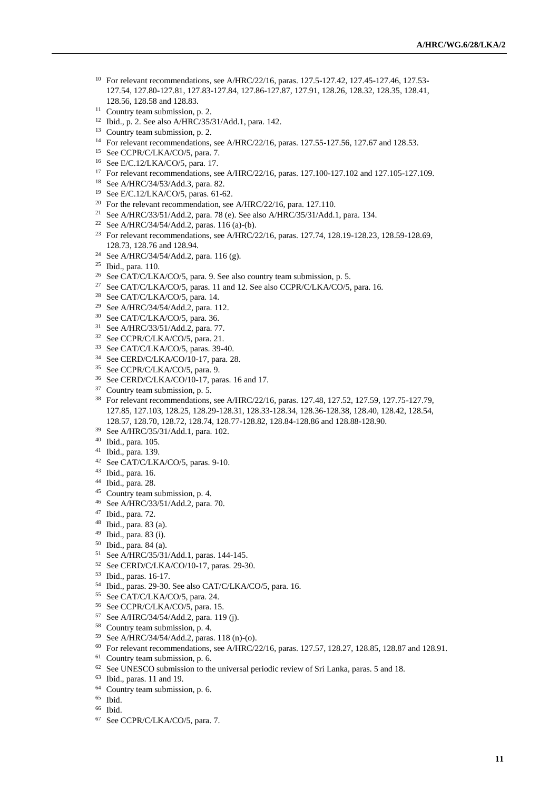- <sup>10</sup> For relevant recommendations, see A/HRC/22/16, paras. 127.5-127.42, 127.45-127.46, 127.53-127.54, 127.80-127.81, 127.83-127.84, 127.86-127.87, 127.91, 128.26, 128.32, 128.35, 128.41, 128.56, 128.58 and 128.83.
- Country team submission, p. 2.
- Ibid., p. 2. See also A/HRC/35/31/Add.1, para. 142.
- <sup>13</sup> Country team submission, p. 2.
- <sup>14</sup> For relevant recommendations, see A/HRC/22/16, paras. 127.55-127.56, 127.67 and 128.53.
- See CCPR/C/LKA/CO/5, para. 7.
- See E/C.12/LKA/CO/5, para. 17.
- For relevant recommendations, see A/HRC/22/16, paras. 127.100-127.102 and 127.105-127.109.
- See A/HRC/34/53/Add.3, para. 82.
- See E/C.12/LKA/CO/5, paras. 61-62.
- <sup>20</sup> For the relevant recommendation, see A/HRC/22/16, para. 127.110.
- See A/HRC/33/51/Add.2, para. 78 (e). See also A/HRC/35/31/Add.1, para. 134.
- See A/HRC/34/54/Add.2, paras. 116 (a)-(b).
- <sup>23</sup> For relevant recommendations, see A/HRC/22/16, paras. 127.74, 128.19-128.23, 128.59-128.69, 128.73, 128.76 and 128.94.
- See A/HRC/34/54/Add.2, para. 116 (g).
- Ibid., para. 110.
- <sup>26</sup> See CAT/C/LKA/CO/5, para. 9. See also country team submission, p. 5.
- <sup>27</sup> See CAT/C/LKA/CO/5, paras. 11 and 12. See also CCPR/C/LKA/CO/5, para. 16.
- See CAT/C/LKA/CO/5, para. 14.
- See A/HRC/34/54/Add.2, para. 112.
- See CAT/C/LKA/CO/5, para. 36.
- See A/HRC/33/51/Add.2, para. 77.
- See CCPR/C/LKA/CO/5, para. 21.
- See CAT/C/LKA/CO/5, paras. 39-40.
- See CERD/C/LKA/CO/10-17, para. 28.
- See CCPR/C/LKA/CO/5, para. 9.
- See CERD/C/LKA/CO/10-17, paras. 16 and 17.
- <sup>37</sup> Country team submission, p. 5.
- For relevant recommendations, see A/HRC/22/16, paras. 127.48, 127.52, 127.59, 127.75-127.79, 127.85, 127.103, 128.25, 128.29-128.31, 128.33-128.34, 128.36-128.38, 128.40, 128.42, 128.54, 128.57, 128.70, 128.72, 128.74, 128.77-128.82, 128.84-128.86 and 128.88-128.90.
- See A/HRC/35/31/Add.1, para. 102.
- Ibid., para. 105.
- Ibid., para. 139.
- See CAT/C/LKA/CO/5, paras. 9-10.
- Ibid., para. 16.
- Ibid., para. 28.
- Country team submission, p. 4.
- See A/HRC/33/51/Add.2, para. 70.
- Ibid., para. 72.
- Ibid., para. 83 (a).
- Ibid., para. 83 (i).
- Ibid., para. 84 (a).
- See A/HRC/35/31/Add.1, paras. 144-145.
- See CERD/C/LKA/CO/10-17, paras. 29-30.
- Ibid., paras. 16-17.
- Ibid., paras. 29-30. See also CAT/C/LKA/CO/5, para. 16.
- See CAT/C/LKA/CO/5, para. 24.
- See CCPR/C/LKA/CO/5, para. 15.
- See A/HRC/34/54/Add.2, para. 119 (j).
- Country team submission, p. 4.
- See A/HRC/34/54/Add.2, paras. 118 (n)-(o).
- For relevant recommendations, see A/HRC/22/16, paras. 127.57, 128.27, 128.85, 128.87 and 128.91.
- Country team submission, p. 6.
- <sup>62</sup> See UNESCO submission to the universal periodic review of Sri Lanka, paras. 5 and 18.
- Ibid., paras. 11 and 19.
- Country team submission, p. 6.
- Ibid.
- Ibid.
- See CCPR/C/LKA/CO/5, para. 7.